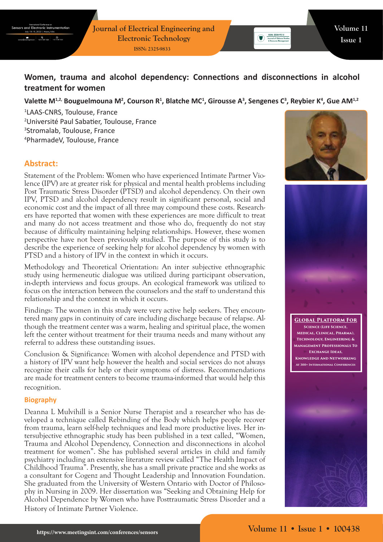

# **Women, trauma and alcohol dependency: Connections and disconnections in alcohol treatment for women**

## Valette M<sup>1,2,</sup> Bouguelmouna M<sup>2</sup>, Courson R<sup>1</sup>, Blatche MC<sup>1</sup>, Girousse A<sup>3</sup>, Sengenes C<sup>3</sup>, Reybier K<sup>4</sup>, Gue AM<sup>1,2</sup>

 LAAS-CNRS, Toulouse, France Université Paul Sabatier, Toulouse, France Stromalab, Toulouse, France PharmadeV, Toulouse, France

# **Abstract:**

Statement of the Problem: Women who have experienced Intimate Partner Violence (IPV) are at greater risk for physical and mental health problems including Post Traumatic Stress Disorder (PTSD) and alcohol dependency. On their own IPV, PTSD and alcohol dependency result in significant personal, social and economic cost and the impact of all three may compound these costs. Researchers have reported that women with these experiences are more difficult to treat and many do not access treatment and those who do, frequently do not stay because of difficulty maintaining helping relationships. However, these women perspective have not been previously studied. The purpose of this study is to describe the experience of seeking help for alcohol dependency by women with PTSD and a history of IPV in the context in which it occurs.

Methodology and Theoretical Orientation: An inter subjective ethnographic study using hermeneutic dialogue was utilized during participant observation, in-depth interviews and focus groups. An ecological framework was utilized to focus on the interaction between the counselors and the staff to understand this relationship and the context in which it occurs.

Findings: The women in this study were very active help seekers. They encountered many gaps in continuity of care including discharge because of relapse. Although the treatment center was a warm, healing and spiritual place, the women left the center without treatment for their trauma needs and many without any referral to address these outstanding issues.

Conclusion & Significance: Women with alcohol dependence and PTSD with a history of IPV want help however the health and social services do not always recognize their calls for help or their symptoms of distress. Recommendations are made for treatment centers to become trauma-informed that would help this recognition.

#### **Biography**

Deanna L Mulvihill is a Senior Nurse Therapist and a researcher who has developed a technique called Rebinding of the Body which helps people recover from trauma, learn self-help techniques and lead more productive lives. Her intersubjective ethnographic study has been published in a text called, "Women, Trauma and Alcohol Dependency, Connection and disconnections in alcohol treatment for women". She has published several articles in child and family psychiatry including an extensive literature review called "The Health Impact of Childhood Trauma". Presently, she has a small private practice and she works as a consultant for Cogenz and Thought Leadership and Innovation Foundation. She graduated from the University of Western Ontario with Doctor of Philosophy in Nursing in 2009. Her dissertation was "Seeking and Obtaining Help for Alcohol Dependence by Women who have Posttraumatic Stress Disorder and a History of Intimate Partner Violence.



 $\begin{tabular}{|c|c|} \hline & ISBN: 2324-9315 \\ \hline \hline \textbf{Journal of Defense 5} \\ \hline \end{tabular}$ 



**Global Platform For Science (Life Science, Medical, Clinical, Pharma), Technology, Engineering & Management Professionals To Exchange Ideas, Knowledge And Networking At 300+ International Conferences**